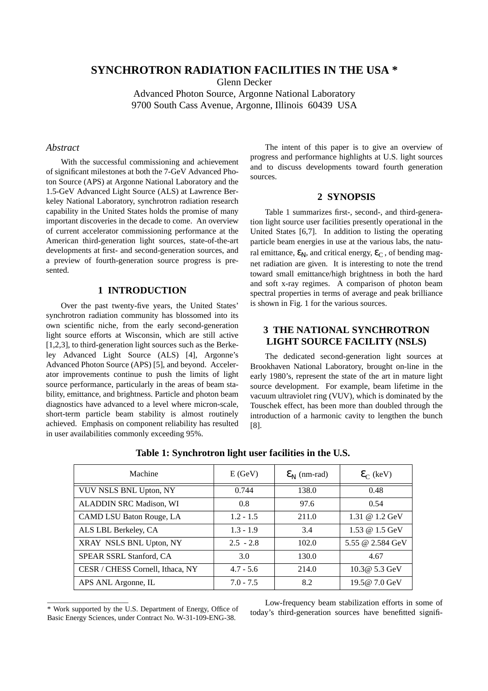# **SYNCHROTRON RADIATION FACILITIES IN THE USA \***

Glenn Decker

Advanced Photon Source, Argonne National Laboratory 9700 South Cass Avenue, Argonne, Illinois 60439 USA

### *Abstract*

With the successful commissioning and achievement of significant milestones at both the 7-GeV Advanced Photon Source (APS) at Argonne National Laboratory and the 1.5-GeV Advanced Light Source (ALS) at Lawrence Berkeley National Laboratory, synchrotron radiation research capability in the United States holds the promise of many important discoveries in the decade to come. An overview of current accelerator commissioning performance at the American third-generation light sources, state-of-the-art developments at first- and second-generation sources, and a preview of fourth-generation source progress is presented.

#### **1 INTRODUCTION**

Over the past twenty-five years, the United States' synchrotron radiation community has blossomed into its own scientific niche, from the early second-generation light source efforts at Wisconsin, which are still active [1,2,3], to third-generation light sources such as the Berkeley Advanced Light Source (ALS) [4], Argonne's Advanced Photon Source (APS) [5], and beyond. Accelerator improvements continue to push the limits of light source performance, particularly in the areas of beam stability, emittance, and brightness. Particle and photon beam diagnostics have advanced to a level where micron-scale, short-term particle beam stability is almost routinely achieved. Emphasis on component reliability has resulted in user availabilities commonly exceeding 95%.

The intent of this paper is to give an overview of progress and performance highlights at U.S. light sources and to discuss developments toward fourth generation sources.

#### **2 SYNOPSIS**

Table 1 summarizes first-, second-, and third-generation light source user facilities presently operational in the United States [6,7]. In addition to listing the operating particle beam energies in use at the various labs, the natural emittance,  $\epsilon_N$ , and critical energy,  $\epsilon_C$ , of bending magnet radiation are given. It is interesting to note the trend toward small emittance/high brightness in both the hard and soft x-ray regimes. A comparison of photon beam spectral properties in terms of average and peak brilliance is shown in Fig. 1 for the various sources.

### **3 THE NATIONAL SYNCHROTRON LIGHT SOURCE FACILITY (NSLS)**

The dedicated second-generation light sources at Brookhaven National Laboratory, brought on-line in the early 1980's, represent the state of the art in mature light source development. For example, beam lifetime in the vacuum ultraviolet ring (VUV), which is dominated by the Touschek effect, has been more than doubled through the introduction of a harmonic cavity to lengthen the bunch [8].

| Machine                          | E(GeV)      | $\mathcal{E}_{N}$ (nm-rad) | $\mathcal{E}_{\text{C}}$ (keV) |
|----------------------------------|-------------|----------------------------|--------------------------------|
| VUV NSLS BNL Upton, NY           | 0.744       | 138.0                      | 0.48                           |
| ALADDIN SRC Madison, WI          | 0.8         | 97.6                       | 0.54                           |
| CAMD LSU Baton Rouge, LA         | $1.2 - 1.5$ | 211.0                      | 1.31 @ $1.2 \text{ GeV}$       |
| ALS LBL Berkeley, CA             | $1.3 - 1.9$ | 3.4                        | 1.53 @ 1.5 GeV                 |
| XRAY NSLS BNL Upton, NY          | $2.5 - 2.8$ | 102.0                      | 5.55 @ 2.584 GeV               |
| SPEAR SSRL Stanford, CA          | 3.0         | 130.0                      | 4.67                           |
| CESR / CHESS Cornell, Ithaca, NY | $4.7 - 5.6$ | 214.0                      | 10.3@ 5.3 GeV                  |
| APS ANL Argonne, IL              | $7.0 - 7.5$ | 8.2                        | 19.5@ 7.0 GeV                  |

**Table 1: Synchrotron light user facilities in the U.S.**

\_\_\_\_\_\_\_\_\_\_\_\_\_\_\_\_\_\_\_\_\_\_

Low-frequency beam stabilization efforts in some of today's third-generation sources have benefitted signifi-

<sup>\*</sup> Work supported by the U.S. Department of Energy, Office of Basic Energy Sciences, under Contract No. W-31-109-ENG-38.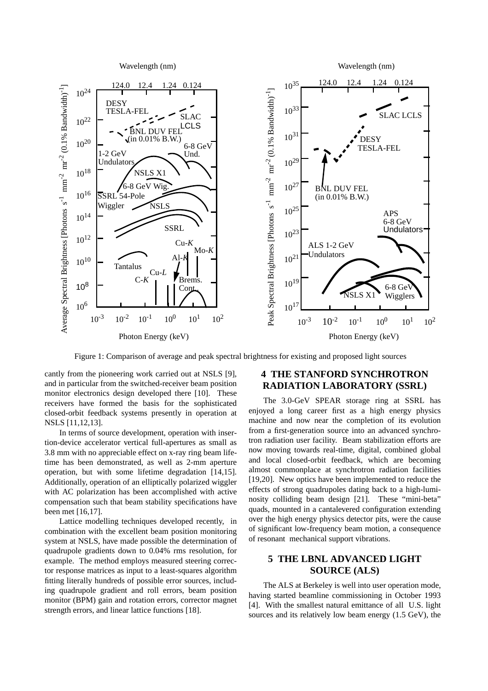

Figure 1: Comparison of average and peak spectral brightness for existing and proposed light sources

cantly from the pioneering work carried out at NSLS [9], and in particular from the switched-receiver beam position monitor electronics design developed there [10]. These receivers have formed the basis for the sophisticated closed-orbit feedback systems presently in operation at NSLS [11,12,13].

In terms of source development, operation with insertion-device accelerator vertical full-apertures as small as 3.8 mm with no appreciable effect on x-ray ring beam lifetime has been demonstrated, as well as 2-mm aperture operation, but with some lifetime degradation [14,15]. Additionally, operation of an elliptically polarized wiggler with AC polarization has been accomplished with active compensation such that beam stability specifications have been met [16,17].

Lattice modelling techniques developed recently, in combination with the excellent beam position monitoring system at NSLS, have made possible the determination of quadrupole gradients down to 0.04% rms resolution, for example. The method employs measured steering corrector response matrices as input to a least-squares algorithm fitting literally hundreds of possible error sources, including quadrupole gradient and roll errors, beam position monitor (BPM) gain and rotation errors, corrector magnet strength errors, and linear lattice functions [18].

## **4 THE STANFORD SYNCHROTRON RADIATION LABORATORY (SSRL)**

The 3.0-GeV SPEAR storage ring at SSRL has enjoyed a long career first as a high energy physics machine and now near the completion of its evolution from a first-generation source into an advanced synchrotron radiation user facility. Beam stabilization efforts are now moving towards real-time, digital, combined global and local closed-orbit feedback, which are becoming almost commonplace at synchrotron radiation facilities [19,20]. New optics have been implemented to reduce the effects of strong quadrupoles dating back to a high-luminosity colliding beam design [21]. These "mini-beta" quads, mounted in a cantalevered configuration extending over the high energy physics detector pits, were the cause of significant low-frequency beam motion, a consequence of resonant mechanical support vibrations.

### **5 THE LBNL ADVANCED LIGHT SOURCE (ALS)**

The ALS at Berkeley is well into user operation mode, having started beamline commissioning in October 1993 [4]. With the smallest natural emittance of all U.S. light sources and its relatively low beam energy (1.5 GeV), the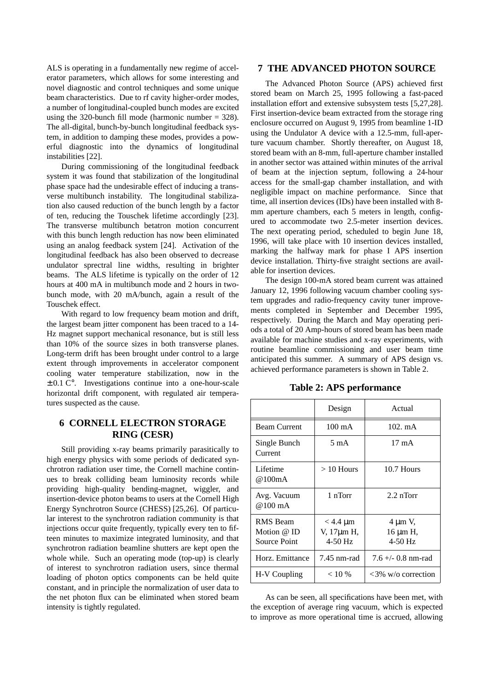ALS is operating in a fundamentally new regime of accelerator parameters, which allows for some interesting and novel diagnostic and control techniques and some unique beam characteristics. Due to rf cavity higher-order modes, a number of longitudinal-coupled bunch modes are excited using the 320-bunch fill mode (harmonic number  $=$  328). The all-digital, bunch-by-bunch longitudinal feedback system, in addition to damping these modes, provides a powerful diagnostic into the dynamics of longitudinal instabilities [22].

During commissioning of the longitudinal feedback system it was found that stabilization of the longitudinal phase space had the undesirable effect of inducing a transverse multibunch instability. The longitudinal stabilization also caused reduction of the bunch length by a factor of ten, reducing the Touschek lifetime accordingly [23]. The transverse multibunch betatron motion concurrent with this bunch length reduction has now been eliminated using an analog feedback system [24]. Activation of the longitudinal feedback has also been observed to decrease undulator sprectral line widths, resulting in brighter beams. The ALS lifetime is typically on the order of 12 hours at 400 mA in multibunch mode and 2 hours in twobunch mode, with 20 mA/bunch, again a result of the Touschek effect.

With regard to low frequency beam motion and drift, the largest beam jitter component has been traced to a 14- Hz magnet support mechanical resonance, but is still less than 10% of the source sizes in both transverse planes. Long-term drift has been brought under control to a large extent through improvements in accelerator component cooling water temperature stabilization, now in the  $\pm$  0.1 C°. Investigations continue into a one-hour-scale horizontal drift component, with regulated air temperatures suspected as the cause.

## **6 CORNELL ELECTRON STORAGE RING (CESR)**

Still providing x-ray beams primarily parasitically to high energy physics with some periods of dedicated synchrotron radiation user time, the Cornell machine continues to break colliding beam luminosity records while providing high-quality bending-magnet, wiggler, and insertion-device photon beams to users at the Cornell High Energy Synchrotron Source (CHESS) [25,26]. Of particular interest to the synchrotron radiation community is that injections occur quite frequently, typically every ten to fifteen minutes to maximize integrated luminosity, and that synchrotron radiation beamline shutters are kept open the whole while. Such an operating mode (top-up) is clearly of interest to synchrotron radiation users, since thermal loading of photon optics components can be held quite constant, and in principle the normalization of user data to the net photon flux can be eliminated when stored beam intensity is tightly regulated.

#### **7 THE ADVANCED PHOTON SOURCE**

The Advanced Photon Source (APS) achieved first stored beam on March 25, 1995 following a fast-paced installation effort and extensive subsystem tests [5,27,28]. First insertion-device beam extracted from the storage ring enclosure occurred on August 9, 1995 from beamline 1-ID using the Undulator A device with a 12.5-mm, full-aperture vacuum chamber. Shortly thereafter, on August 18, stored beam with an 8-mm, full-aperture chamber installed in another sector was attained within minutes of the arrival of beam at the injection septum, following a 24-hour access for the small-gap chamber installation, and with negligible impact on machine performance. Since that time, all insertion devices (IDs) have been installed with 8 mm aperture chambers, each 5 meters in length, configured to accommodate two 2.5-meter insertion devices. The next operating period, scheduled to begin June 18, 1996, will take place with 10 insertion devices installed, marking the halfway mark for phase I APS insertion device installation. Thirty-five straight sections are available for insertion devices.

The design 100-mA stored beam current was attained January 12, 1996 following vacuum chamber cooling system upgrades and radio-frequency cavity tuner improvements completed in September and December 1995, respectively. During the March and May operating periods a total of 20 Amp-hours of stored beam has been made available for machine studies and x-ray experiments, with routine beamline commissioning and user beam time anticipated this summer. A summary of APS design vs. achieved performance parameters is shown in Table 2.

| Design                                   | Actual                           |
|------------------------------------------|----------------------------------|
| $100 \text{ mA}$                         | $102. \text{mA}$                 |
| 5 m A                                    | $17 \text{ mA}$                  |
| $>10$ Hours                              | 10.7 Hours                       |
| 1 nTorr                                  | $2.2$ nTorr                      |
| $<$ 4.4 $\mu$ m<br>V, 17µm H,<br>4-50 Hz | 4 μm V,<br>16 μm H,<br>$4-50$ Hz |
| 7.45 nm-rad                              | $7.6 + -0.8$ nm-rad              |
| < 10 %                                   | $<3\%$ w/o correction            |
|                                          |                                  |

#### **Table 2: APS performance**

As can be seen, all specifications have been met, with the exception of average ring vacuum, which is expected to improve as more operational time is accrued, allowing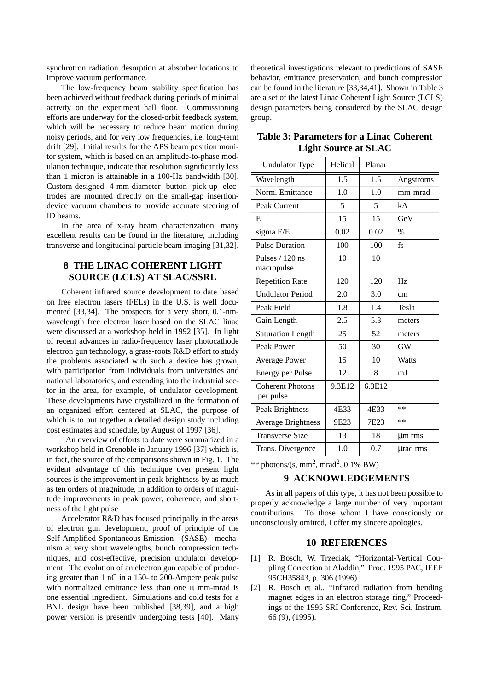synchrotron radiation desorption at absorber locations to improve vacuum performance.

The low-frequency beam stability specification has been achieved without feedback during periods of minimal activity on the experiment hall floor. Commissioning efforts are underway for the closed-orbit feedback system, which will be necessary to reduce beam motion during noisy periods, and for very low frequencies, i.e. long-term drift [29]. Initial results for the APS beam position monitor system, which is based on an amplitude-to-phase modulation technique, indicate that resolution significantly less than 1 micron is attainable in a 100-Hz bandwidth [30]. Custom-designed 4-mm-diameter button pick-up electrodes are mounted directly on the small-gap insertiondevice vacuum chambers to provide accurate steering of ID beams.

In the area of x-ray beam characterization, many excellent results can be found in the literature, including transverse and longitudinal particle beam imaging [31,32].

# **8 THE LINAC COHERENT LIGHT SOURCE (LCLS) AT SLAC/SSRL**

Coherent infrared source development to date based on free electron lasers (FELs) in the U.S. is well documented [33,34]. The prospects for a very short, 0.1-nmwavelength free electron laser based on the SLAC linac were discussed at a workshop held in 1992 [35]. In light of recent advances in radio-frequency laser photocathode electron gun technology, a grass-roots R&D effort to study the problems associated with such a device has grown, with participation from individuals from universities and national laboratories, and extending into the industrial sector in the area, for example, of undulator development. These developments have crystallized in the formation of an organized effort centered at SLAC, the purpose of which is to put together a detailed design study including cost estimates and schedule, by August of 1997 [36].

 An overview of efforts to date were summarized in a workshop held in Grenoble in January 1996 [37] which is, in fact, the source of the comparisons shown in Fig. 1. The evident advantage of this technique over present light sources is the improvement in peak brightness by as much as ten orders of magnitude, in addition to orders of magnitude improvements in peak power, coherence, and shortness of the light pulse

Accelerator R&D has focused principally in the areas of electron gun development, proof of principle of the Self-Amplified-Spontaneous-Emission (SASE) mechanism at very short wavelengths, bunch compression techniques, and cost-effective, precision undulator development. The evolution of an electron gun capable of producing greater than 1 nC in a 150- to 200-Ampere peak pulse with normalized emittance less than one  $\pi$  mm-mrad is one essential ingredient. Simulations and cold tests for a BNL design have been published [38,39], and a high power version is presently undergoing tests [40]. Many

theoretical investigations relevant to predictions of SASE behavior, emittance preservation, and bunch compression can be found in the literature [33,34,41]. Shown in Table 3 are a set of the latest Linac Coherent Light Source (LCLS) design parameters being considered by the SLAC design group.

| <b>Undulator Type</b>                | Helical | Planar           |              |
|--------------------------------------|---------|------------------|--------------|
| Wavelength                           | 1.5     | 1.5              | Angstroms    |
| Norm. Emittance                      | 1.0     | 1.0              | mm-mrad      |
| Peak Current                         | 5       | 5                | kA           |
| E                                    | 15      | 15               | GeV          |
| sigma E/E                            | 0.02    | 0.02             | $\%$         |
| <b>Pulse Duration</b>                | 100     | 100              | $f_S$        |
| Pulses / 120 ns<br>macropulse        | 10      | 10               |              |
| <b>Repetition Rate</b>               | 120     | 120              | Hz           |
| <b>Undulator Period</b>              | 2.0     | 3.0              | cm           |
| Peak Field                           | 1.8     | 1.4              | Tesla        |
| Gain Length                          | 2.5     | 5.3              | meters       |
| <b>Saturation Length</b>             | 25      | 52               | meters       |
| Peak Power                           | 50      | 30               | <b>GW</b>    |
| <b>Average Power</b>                 | 15      | 10               | <b>Watts</b> |
| <b>Energy per Pulse</b>              | 12      | 8                | mJ           |
| <b>Coherent Photons</b><br>per pulse | 9.3E12  | 6.3E12           |              |
| Peak Brightness                      | 4E33    | 4E33             | $**$         |
| <b>Average Brightness</b>            | 9E23    | 7E <sub>23</sub> | $**$         |
| <b>Transverse Size</b>               | 13      | 18               | µm rms       |
| Trans. Divergence                    | 1.0     | 0.7              | urad rms     |

**Table 3: Parameters for a Linac Coherent Light Source at SLAC**

\*\* photons/(s, mm<sup>2</sup>, mrad<sup>2</sup>, 0.1% BW)

#### **9 ACKNOWLEDGEMENTS**

As in all papers of this type, it has not been possible to properly acknowledge a large number of very important contributions. To those whom I have consciously or unconsciously omitted, I offer my sincere apologies.

#### **10 REFERENCES**

- [1] R. Bosch, W. Trzeciak, "Horizontal-Vertical Coupling Correction at Aladdin," Proc. 1995 PAC, IEEE 95CH35843, p. 306 (1996).
- [2] R. Bosch et al., "Infrared radiation from bending magnet edges in an electron storage ring," Proceedings of the 1995 SRI Conference, Rev. Sci. Instrum. 66 (9), (1995).